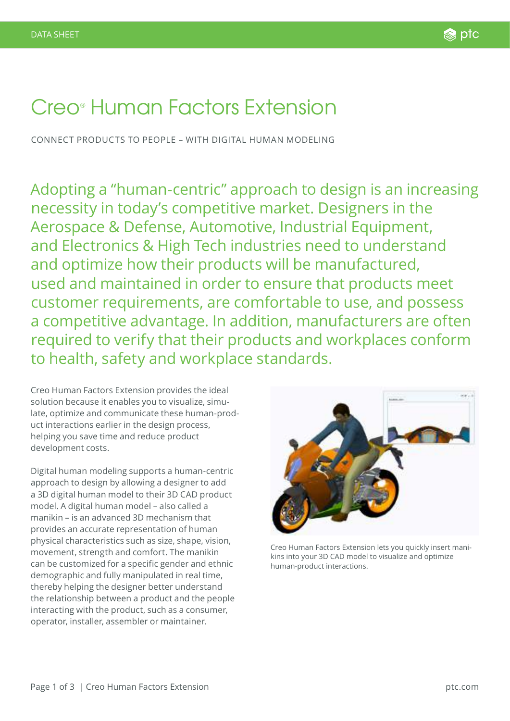# Creo® Human Factors Extension

CONNECT PRODUCTS TO PEOPLE – WITH DIGITAL HUMAN MODELING

Adopting a "human-centric" approach to design is an increasing necessity in today's competitive market. Designers in the Aerospace & Defense, Automotive, Industrial Equipment, and Electronics & High Tech industries need to understand and optimize how their products will be manufactured, used and maintained in order to ensure that products meet customer requirements, are comfortable to use, and possess a competitive advantage. In addition, manufacturers are often required to verify that their products and workplaces conform to health, safety and workplace standards.

Creo Human Factors Extension provides the ideal solution because it enables you to visualize, simulate, optimize and communicate these human-product interactions earlier in the design process, helping you save time and reduce product development costs.

Digital human modeling supports a human-centric approach to design by allowing a designer to add a 3D digital human model to their 3D CAD product model. A digital human model – also called a manikin – is an advanced 3D mechanism that provides an accurate representation of human physical characteristics such as size, shape, vision, movement, strength and comfort. The manikin can be customized for a specific gender and ethnic demographic and fully manipulated in real time, thereby helping the designer better understand the relationship between a product and the people interacting with the product, such as a consumer, operator, installer, assembler or maintainer.



Creo Human Factors Extension lets you quickly insert manikins into your 3D CAD model to visualize and optimize human-product interactions.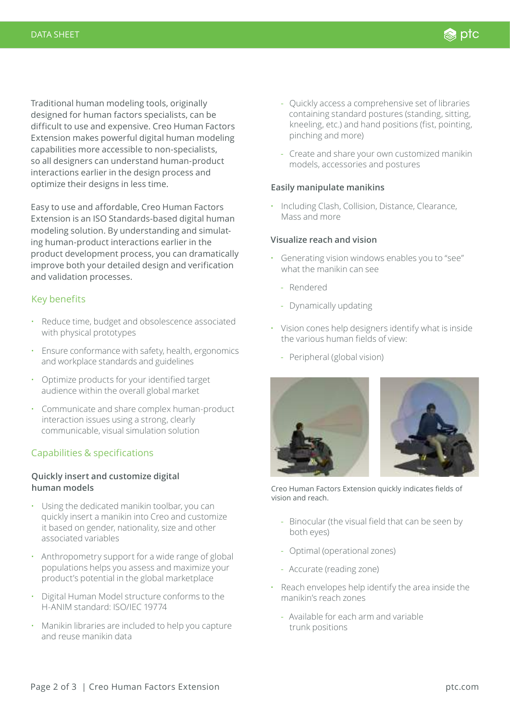Traditional human modeling tools, originally designed for human factors specialists, can be difficult to use and expensive. Creo Human Factors Extension makes powerful digital human modeling capabilities more accessible to non-specialists, so all designers can understand human-product interactions earlier in the design process and optimize their designs in less time.

Easy to use and affordable, Creo Human Factors Extension is an ISO Standards-based digital human modeling solution. By understanding and simulating human-product interactions earlier in the product development process, you can dramatically improve both your detailed design and verification and validation processes.

## Key benefits

- Reduce time, budget and obsolescence associated with physical prototypes
- Ensure conformance with safety, health, ergonomics and workplace standards and guidelines
- Optimize products for your identified target audience within the overall global market
- Communicate and share complex human-product interaction issues using a strong, clearly communicable, visual simulation solution

## Capabilities & specifications

### **Quickly insert and customize digital human models**

- Using the dedicated manikin toolbar, you can quickly insert a manikin into Creo and customize it based on gender, nationality, size and other associated variables
- Anthropometry support for a wide range of global populations helps you assess and maximize your product's potential in the global marketplace
- Digital Human Model structure conforms to the H-ANIM standard: ISO/IEC 19774
- Manikin libraries are included to help you capture and reuse manikin data

- Quickly access a comprehensive set of libraries containing standard postures (standing, sitting, kneeling, etc.) and hand positions (fist, pointing, pinching and more)

**⊚** ptc

- Create and share your own customized manikin models, accessories and postures

#### **Easily manipulate manikins**

• Including Clash, Collision, Distance, Clearance, Mass and more

### **Visualize reach and vision**

- Generating vision windows enables you to "see" what the manikin can see
	- Rendered
	- Dynamically updating
- Vision cones help designers identify what is inside the various human fields of view:
	- Peripheral (global vision)



Creo Human Factors Extension quickly indicates fields of vision and reach.

- Binocular (the visual field that can be seen by both eyes)
- Optimal (operational zones)
- Accurate (reading zone)
- Reach envelopes help identify the area inside the manikin's reach zones
	- Available for each arm and variable trunk positions